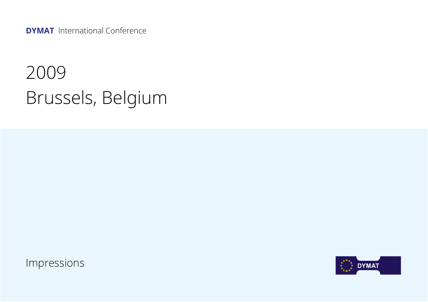**DYMAT** International Conference

## 2009 Brussels, Belgium

Impressions

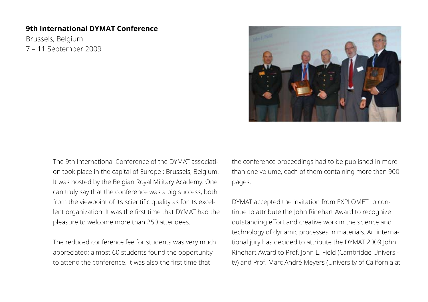## **9th International DYMAT Conference**

Brussels, Belgium 7 – 11 September 2009



The 9th International Conference of the DYMAT association took place in the capital of Europe : Brussels, Belgium. It was hosted by the Belgian Royal Military Academy. One can truly say that the conference was a big success, both from the viewpoint of its scientific quality as for its excellent organization. It was the first time that DYMAT had the pleasure to welcome more than 250 attendees.

The reduced conference fee for students was very much appreciated: almost 60 students found the opportunity to attend the conference. It was also the first time that

the conference proceedings had to be published in more than one volume, each of them containing more than 900 pages.

DYMAT accepted the invitation from EXPLOMET to continue to attribute the John Rinehart Award to recognize outstanding effort and creative work in the science and technology of dynamic processes in materials. An international jury has decided to attribute the DYMAT 2009 John Rinehart Award to Prof. John E. Field (Cambridge University) and Prof. Marc André Meyers (University of California at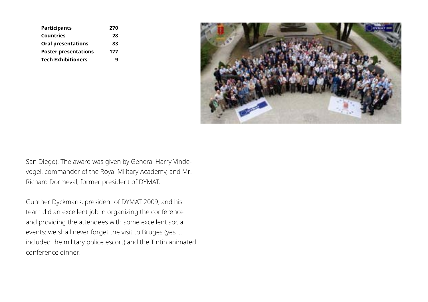| <b>Participants</b>         | 270 |
|-----------------------------|-----|
| Countries                   | 28  |
| <b>Oral presentations</b>   | 83  |
| <b>Poster presentations</b> | 177 |
| <b>Tech Exhibitioners</b>   | a   |



San Diego). The award was given by General Harry Vindevogel, commander of the Royal Military Academy, and Mr. Richard Dormeval, former president of DYMAT.

Gunther Dyckmans, president of DYMAT 2009, and his team did an excellent job in organizing the conference and providing the attendees with some excellent social events: we shall never forget the visit to Bruges (yes ... included the military police escort) and the Tintin animated conference dinner.